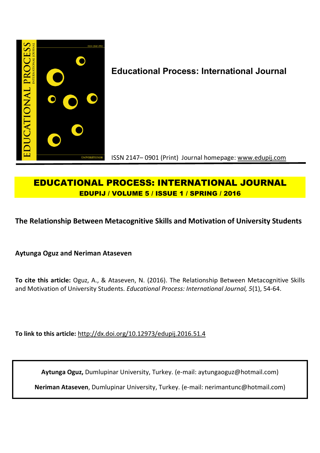

# **Educational Process: International Journal**

ISSN 2147– 0901 (Print) Journal homepage: www.edupij.com

## **EDUCATIONAL PROCESS: INTERNATIONAL JOURNAL EDUPIJ / VOLUME 5 / ISSUE 1 / SPRING / 2016**

## **The Relationship Between Metacognitive Skills and Motivation of University Students**

**Aytunga Oguz and Neriman Ataseven**

**To cite this article:** Oguz, A., & Ataseven, N. (2016). The Relationship Between Metacognitive Skills and Motivation of University Students. *Educational Process: International Journal, 5*(1), 54-64.

**To link to this article:** http://dx.doi.org/10.12973/edupij.2016.51.4

**Aytunga Oguz,** Dumlupinar University, Turkey. (e-mail: aytungaoguz@hotmail.com)

**Neriman Ataseven**, Dumlupinar University, Turkey. (e-mail: nerimantunc@hotmail.com)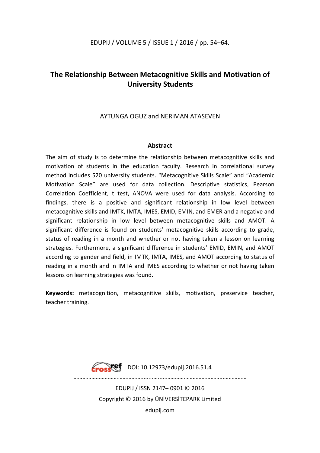## **The Relationship Between Metacognitive Skills and Motivation of University Students**

### AYTUNGA OGUZ and NERIMAN ATASEVEN

### **Abstract**

The aim of study is to determine the relationship between metacognitive skills and motivation of students in the education faculty. Research in correlational survey method includes 520 university students. "Metacognitive Skills Scale" and "Academic Motivation Scale" are used for data collection. Descriptive statistics, Pearson Correlation Coefficient, t test, ANOVA were used for data analysis. According to findings, there is a positive and significant relationship in low level between metacognitive skills and IMTK, IMTA, IMES, EMID, EMIN, and EMER and a negative and significant relationship in low level between metacognitive skills and AMOT. A significant difference is found on students' metacognitive skills according to grade, status of reading in a month and whether or not having taken a lesson on learning strategies. Furthermore, a significant difference in students' EMID, EMIN, and AMOT according to gender and field, in IMTK, IMTA, IMES, and AMOT according to status of reading in a month and in IMTA and IMES according to whether or not having taken lessons on learning strategies was found.

**Keywords:** metacognition, metacognitive skills, motivation, preservice teacher, teacher training.

Fraskef DOI: 10.12973/edupij.2016.51.4

………………………………………........….....………………………………...……………

EDUPIJ / ISSN 2147– 0901 © 2016 Copyright © 2016 by ÜNİVERSİTEPARK Limited edupij.com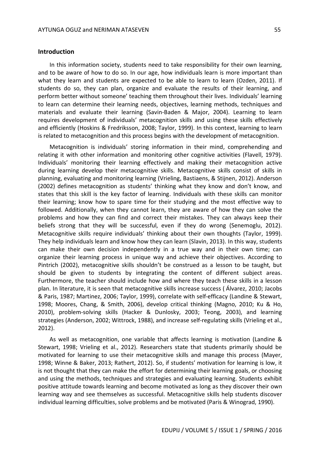#### **Introduction**

In this information society, students need to take responsibility for their own learning, and to be aware of how to do so. In our age, how individuals learn is more important than what they learn and students are expected to be able to learn to learn (Ozden, 2011). If students do so, they can plan, organize and evaluate the results of their learning, and perform better without someone' teaching them throughout their lives. Individuals' learning to learn can determine their learning needs, objectives, learning methods, techniques and materials and evaluate their learning (Savin-Baden & Major, 2004). Learning to learn requires development of individuals' metacognition skills and using these skills effectively and efficiently (Hoskins & Fredriksson, 2008; Taylor, 1999). In this context, learning to learn is related to metacognition and this process begins with the development of metacognition.

Metacognition is individuals' storing information in their mind, comprehending and relating it with other information and monitoring other cognitive activities (Flavell, 1979). Individuals' monitoring their learning effectively and making their metacognition active during learning develop their metacognitive skills. Metacognitive skills consist of skills in planning, evaluating and monitoring learning (Vrieling, Bastiaens, & Stijnen, 2012). Anderson (2002) defines metacognition as students' thinking what they know and don't know, and states that this skill is the key factor of learning. Individuals with these skills can monitor their learning; know how to spare time for their studying and the most effective way to followed. Additionally, when they cannot learn, they are aware of how they can solve the problems and how they can find and correct their mistakes. They can always keep their beliefs strong that they will be successful, even if they do wrong (Senemoglu, 2012). Metacognitive skills require individuals' thinking about their own thoughts (Taylor, 1999). They help individuals learn and know how they can learn (Slavin, 2013). In this way, students can make their own decision independently in a true way and in their own time; can organize their learning process in unique way and achieve their objectives. According to Pintrich (2002), metacognitive skills shouldn't be construed as a lesson to be taught, but should be given to students by integrating the content of different subject areas. Furthermore, the teacher should include how and where they teach these skills in a lesson plan. In literature, it is seen that metacognitive skills increase success ( Álvarez, 2010; Jacobs & Paris, 1987; Martinez, 2006; Taylor, 1999), correlate with self-efficacy (Landine & Stewart, 1998; Moores, Chang, & Smith, 2006), develop critical thinking (Magno, 2010; Ku & Ho, 2010), problem-solving skills (Hacker & Dunlosky, 2003; Teong, 2003), and learning strategies (Anderson, 2002; Wittrock, 1988), and increase self-regulating skills (Vrieling et al., 2012).

As well as metacognition, one variable that affects learning is motivation (Landine & Stewart, 1998; Vrieling et al., 2012). Researchers state that students primarily should be motivated for learning to use their metacognitive skills and manage this process (Mayer, 1998; Winne & Baker, 2013; Rathert, 2012). So, if students' motivation for learning is low, it is not thought that they can make the effort for determining their learning goals, or choosing and using the methods, techniques and strategies and evaluating learning. Students exhibit positive attitude towards learning and become motivated as long as they discover their own learning way and see themselves as successful. Metacognitive skills help students discover individual learning difficulties, solve problems and be motivated (Paris & Winograd, 1990).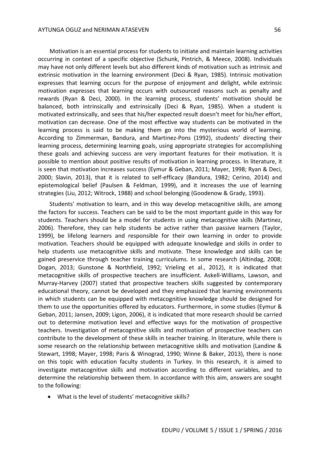Motivation is an essential process for students to initiate and maintain learning activities occurring in context of a specific objective (Schunk, Pintrich, & Meece, 2008). Individuals may have not only different levels but also different kinds of motivation such as intrinsic and extrinsic motivation in the learning environment (Deci & Ryan, 1985). Intrinsic motivation expresses that learning occurs for the purpose of enjoyment and delight, while extrinsic motivation expresses that learning occurs with outsourced reasons such as penalty and rewards (Ryan & Deci, 2000). In the learning process, students' motivation should be balanced, both intrinsically and extrinsically (Deci & Ryan, 1985). When a student is motivated extrinsically, and sees that his/her expected result doesn't meet for his/her effort, motivation can decrease. One of the most effective way students can be motivated in the learning process is said to be making them go into the mysterious world of learning. According to Zimmerman, Bandura, and Martinez-Pons (1992), students' directing their learning process, determining learning goals, using appropriate strategies for accomplishing these goals and achieving success are very important features for their motivation. It is possible to mention about positive results of motivation in learning process. In literature, it is seen that motivation increases success (Eymur & Geban, 2011; Mayer, 1998; Ryan & Deci, 2000; Slavin, 2013), that it is related to self-efficacy (Bandura, 1982; Cerino, 2014) and epistemological belief (Paulsen & Feldman, 1999), and it increases the use of learning strategies (Liu, 2012; Witrock, 1988) and school belonging (Goodenow & Grady, 1993).

Students' motivation to learn, and in this way develop metacognitive skills, are among the factors for success. Teachers can be said to be the most important guide in this way for students. Teachers should be a model for students in using metacognitive skills (Martinez, 2006). Therefore, they can help students be active rather than passive learners (Taylor, 1999), be lifelong learners and responsible for their own learning in order to provide motivation. Teachers should be equipped with adequate knowledge and skills in order to help students use metacognitive skills and motivate. These knowledge and skills can be gained preservice through teacher training curriculums. In some research (Altindag, 2008; Dogan, 2013; Gunstone & Northfield, 1992; Vrieling et al., 2012), it is indicated that metacognitive skills of prospective teachers are insufficient. Askell-Williams, Lawson, and Murray-Harvey (2007) stated that prospective teachers skills suggested by contemporary educational theory, cannot be developed and they emphasized that learning environments in which students can be equipped with metacognitive knowledge should be designed for them to use the opportunities offered by educators. Furthermore, in some studies (Eymur & Geban, 2011; Jansen, 2009; Ligon, 2006), it is indicated that more research should be carried out to determine motivation level and effective ways for the motivation of prospective teachers. Investigation of metacognitive skills and motivation of prospective teachers can contribute to the development of these skills in teacher training. In literature, while there is some research on the relationship between metacognitive skills and motivation (Landine & Stewart, 1998; Mayer, 1998; Paris & Winograd, 1990; Winne & Baker, 2013), there is none on this topic with education faculty students in Turkey. In this research, it is aimed to investigate metacognitive skills and motivation according to different variables, and to determine the relationship between them. In accordance with this aim, answers are sought to the following:

What is the level of students' metacognitive skills?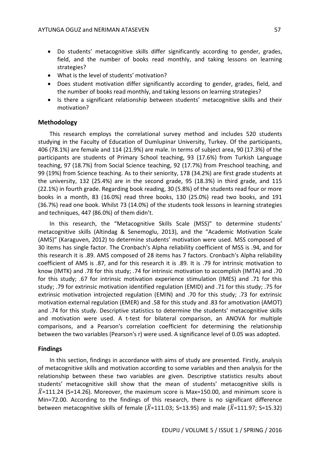- Do students' metacognitive skills differ significantly according to gender, grades, field, and the number of books read monthly, and taking lessons on learning strategies?
- What is the level of students' motivation?
- Does student motivation differ significantly according to gender, grades, field, and the number of books read monthly, and taking lessons on learning strategies?
- Is there a significant relationship between students' metacognitive skills and their motivation?

#### **Methodology**

This research employs the correlational survey method and includes 520 students studying in the Faculty of Education of Dumlupinar University, Turkey. Of the participants, 406 (78.1%) are female and 114 (21.9%) are male. In terms of subject area, 90 (17.3%) of the participants are students of Primary School teaching, 93 (17.6%) from Turkish Language teaching, 97 (18.7%) from Social Science teaching, 92 (17.7%) from Preschool teaching, and 99 (19%) from Science teaching. As to their seniority, 178 (34.2%) are first grade students at the university, 132 (25.4%) are in the second grade, 95 (18.3%) in third grade, and 115 (22.1%) in fourth grade. Regarding book reading, 30 (5.8%) of the students read four or more books in a month, 83 (16.0%) read three books, 130 (25.0%) read two books, and 191 (36.7%) read one book. Whilst 73 (14.0%) of the students took lessons in learning strategies and techniques, 447 (86.0%) of them didn't.

In this research, the "Metacognitive Skills Scale (MSS)" to determine students' metacognitive skills (Altindag & Senemoglu, 2013), and the "Academic Motivation Scale (AMS)" (Karaguven, 2012) to determine students' motivation were used. MSS composed of 30 items has single factor. The Cronbach's Alpha reliability coefficient of MSS is .94, and for this research it is .89. AMS composed of 28 items has 7 factors. Cronbach's Alpha reliability coefficient of AMS is .87, and for this research it is .89. It is .79 for intrinsic motivation to know (IMTK) and .78 for this study; .74 for intrinsic motivation to accomplish (IMTA) and .70 for this study; .67 for intrinsic motivation experience stimulation (IMES) and .71 for this study; .79 for extrinsic motivation identified regulation (EMID) and .71 for this study; .75 for extrinsic motivation introjected regulation (EMIN) and .70 for this study; .73 for extrinsic motivation external regulation (EMER) and .58 for this study and .83 for amotivation (AMOT) and .74 for this study. Descriptive statistics to determine the students' metacognitive skills and motivation were used. A t-test for bilateral comparison, an ANOVA for multiple comparisons, and a Pearson's correlation coefficient for determining the relationship between the two variables (Pearson's r) were used. A significance level of 0.05 was adopted.

#### **Findings**

In this section, findings in accordance with aims of study are presented. Firstly, analysis of metacognitive skills and motivation according to some variables and then analysis for the relationship between these two variables are given. Descriptive statistics results about students' metacognitive skill show that the mean of students' metacognitive skills is  $\bar{X}$ =111.24 (S=14.26). Moreover, the maximum score is Max=150.00, and minimum score is Min=72.00. According to the findings of this research, there is no significant difference between metacognitive skills of female ( $\bar{X}$ =111.03; S=13.95) and male ( $\bar{X}$ =111.97; S=15.32)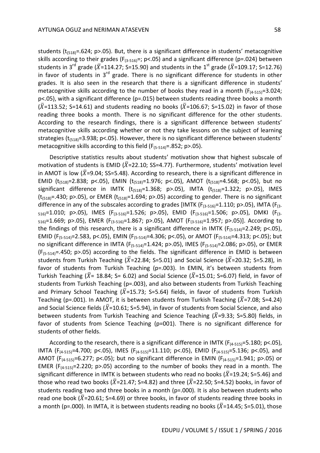students ( $t_{(518)} = .624$ ; p>.05). But, there is a significant difference in students' metacognitive skills according to their grades ( $F_{(3-516)}$ =; p<.05) and a significant difference (p=.024) between students in 3<sup>rd</sup> grade ( $\bar{X}$ =114.27; S=15.90) and students in the 1<sup>st</sup> grade ( $\bar{X}$ =109.17; S=12.76) in favor of students in  $3<sup>rd</sup>$  grade. There is no significant difference for students in other grades. It is also seen in the research that there is a significant difference in students' metacognitive skills according to the number of books they read in a month  $(F_{(4-515)}=3.024;$ p<.05), with a significant difference (p=.015) between students reading three books a month  $(\bar{X}=113.52; S=14.61)$  and students reading no books ( $\bar{X}=106.67; S=15.02$ ) in favor of those reading three books a month. There is no significant difference for the other students. According to the research findings, there is a significant difference between students' metacognitive skills according whether or not they take lessons on the subject of learning strategies ( $t_{(518)}$ =3.938; p<.05). However, there is no significant difference between students' metacognitive skills according to this field ( $F_{(5-514)} = .852$ ; p>.05).

Descriptive statistics results about students' motivation show that highest subscale of motivation of students is EMID ( $\bar{X}$ =22.10; SS=4.77). Furthermore, students' motivation level in AMOT is low ( $\bar{X}$ =9.04; SS=5.48). According to research, there is a significant difference in EMID ( $t_{(518)}$ =2.838; p<.05), EMIN ( $t_{(518)}$ =1.976; p<.05), AMOT ( $t_{(518)}$ =4.568; p<.05), but no significant difference in IMTK  $(t_{(518)}=1.368; p>0.05)$ , IMTA  $(t_{(518)}=1.322; p>0.05)$ , IMES  $(t<sub>(518)</sub>=.430; p>0.5)$ , or EMER  $(t<sub>(518)</sub>=1.694; p>0.05)$  according to gender. There is no significant difference in any of the subscales according to grades [IMTK ( $F_{(3-516)}$ =1.110; p>.05), IMTA ( $F_{(3-56)}$  $_{516}$ =1.010; p>.05), IMES (F<sub>(3-516</sub>)=1.526; p>.05), EMID (F<sub>(3-516</sub>)=1.506; p>.05), DMKI (F<sub>(3-</sub>  $_{516}$ =1.669; p>.05), EMER (F<sub>(3-516)</sub>=1.867; p>.05), AMOT (F<sub>(3-516)</sub>=1.957; p>.05)]. According to the findings of this research, there is a significant difference in IMTK ( $F_{(5-514)}=2.249$ ; p<.05), EMID (F<sub>(5-514)</sub>=2.583, p<.05), EMIN (F<sub>(5-514)</sub>=4.306; p<.05), or AMOT (F<sub>(5-514)</sub>=4.313; p<.05); but no significant difference in IMTA (F<sub>(5-514)</sub>=1.424; p>.05), IMES (F<sub>(5-514)</sub>=2.086; p>.05), or EMER  $(F_{(5-514)}=.450; p>0.05)$  according to the fields. The significant difference in EMID is between students from Turkish Teaching ( $\bar{X}$ =22.84; S=5.01) and Social Science ( $\bar{X}$ =20.32; S=5.28), in favor of students from Turkish Teaching (p=.003). In EMIN, it's between students from Turkish Teaching ( $\bar{X}$ = 18.84; S= 6.02) and Social Science ( $\bar{X}$ =15.01; S=6.07) field, in favor of students from Turkish Teaching (p=.003), and also between students from Turkish Teaching and Primary School Teaching ( $\bar{X}$ =15.73; S=5.64) fields, in favor of students from Turkish Teaching (p=.001). In AMOT, it is between students from Turkish Teaching ( $\bar{X}$ =7.08; S=4.24) and Social Science fields ( $\bar{X}$ =10.61; S=5.94), in favor of students from Social Science, and also between students from Turkish Teaching and Science Teaching ( $\bar{X}$ =9.33; S=5.80) fields, in favor of students from Science Teaching (p=001). There is no significant difference for students of other fields.

According to the research, there is a significant difference in IMTK ( $F_{(4-515)}=5.180$ ; p<.05), IMTA (F(4-515)=4.700; p<.05), IMES (F(4-515)=11.110; p<.05), EMID (F(4-515)=5.136; p<.05), and AMOT ( $F_{(4-515)}=6.277$ ; p<.05); but no significant difference in EMIN ( $F_{(4-515)}=1.941$ ; p>.05) or EMER ( $F_{(4-515)}$ =2.220; p>.05) according to the number of books they read in a month. The significant difference in IMTK is between students who read no books ( $\overline{X}$ =19.24; S=5.46) and those who read two books ( $\bar{X}$ =21.47; S=4.82) and three ( $\bar{X}$ =22.50; S=4.52) books, in favor of students reading two and three books in a month (p=.000). It is also between students who read one book ( $\bar{X}$ =20.61; S=4.69) or three books, in favor of students reading three books in a month (p=.000). In IMTA, it is between students reading no books ( $\overline{X}$ =14.45; S=5.01), those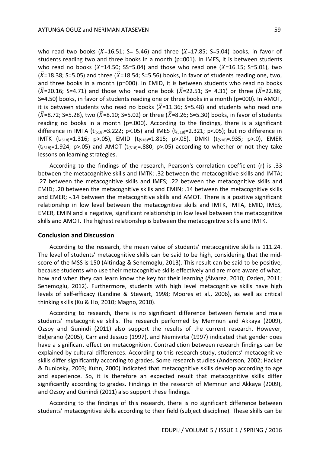who read two books ( $\bar{X}$ =16.51; S= 5.46) and three ( $\bar{X}$ =17.85; S=5.04) books, in favor of students reading two and three books in a month (p=001). In IMES, it is between students who read no books ( $\bar{X}$ =14.50; SS=5.04) and those who read one ( $\bar{X}$ =16.15; S=5.01), two ( $\bar{X}$ =18.38; S=5.05) and three ( $\bar{X}$ =18.54; S=5.56) books, in favor of students reading one, two, and three books in a month (p=000). In EMID, it is between students who read no books  $({\bar X}=20.16; S=4.71)$  and those who read one book  $({\bar X}=22.51; S=4.31)$  or three  $({\bar X}=22.86;$ S=4.50) books, in favor of students reading one or three books in a month (p=000). In AMOT, it is between students who read no books ( $\overline{X}$ =11.36; S=5.48) and students who read one  $(\bar{X}=8.72; S=5.28)$ , two ( $\bar{X}=8.10; S=5.02$ ) or three ( $\bar{X}=8.26; S=5.30$ ) books, in favor of students reading no books in a month ( $p=.000$ ). According to the findings, there is a significant difference in IMTA ( $t_{(518)}=3.222$ ; p<.05) and IMES ( $t_{(518)}=2.321$ ; p<.05); but no difference in IMTK  $(t_{(518)}=1.316; p>0.05)$ , EMID  $(t_{(518)}=1.815; p>0.05)$ , DMKI  $(t_{(518)}=.935; p>0)$ , EMER  $(t_{(518)}=1.924; p>0.05)$  and AMOT  $(t_{(518)}=.880; p>0.05)$  according to whether or not they take lessons on learning strategies.

According to the findings of the research, Pearson's correlation coefficient (r) is .33 between the metacognitive skills and IMTK; .32 between the metacognitive skills and IMTA; .27 between the metacognitive skills and IMES; .22 between the metacognitive skills and EMID; .20 between the metacognitive skills and EMIN; .14 between the metacognitive skills and EMER; -.14 between the metacognitive skills and AMOT. There is a positive significant relationship in low level between the metacognitive skills and IMTK, IMTA, EMID, IMES, EMER, EMIN and a negative, significant relationship in low level between the metacognitive skills and AMOT. The highest relationship is between the metacognitive skills and IMTK.

#### **Conclusion and Discussion**

According to the research, the mean value of students' metacognitive skills is 111.24. The level of students' metacognitive skills can be said to be high, considering that the midscore of the MSS is 150 (Altindag & Senemoglu, 2013). This result can be said to be positive, because students who use their metacognitive skills effectively and are more aware of what, how and when they can learn know the key for their learning (Álvarez, 2010; Ozden, 2011; Senemoglu, 2012). Furthermore, students with high level metacognitive skills have high levels of self-efficacy (Landine & Stewart, 1998; Moores et al., 2006), as well as critical thinking skills (Ku & Ho, 2010; Magno, 2010).

According to research, there is no significant difference between female and male students' metacognitive skills. The research performed by Memnun and Akkaya (2009), Ozsoy and Gunindi (2011) also support the results of the current research. However, Bidjerano (2005), Carr and Jessup (1997), and Niemivirta (1997) indicated that gender does have a significant effect on metacognition. Contradiction between research findings can be explained by cultural differences. According to this research study, students' metacognitive skills differ significantly according to grades. Some research studies (Anderson, 2002; Hacker & Dunlosky, 2003; Kuhn, 2000) indicated that metacognitive skills develop according to age and experience. So, it is therefore an expected result that metacognitive skills differ significantly according to grades. Findings in the research of Memnun and Akkaya (2009), and Ozsoy and Gunindi (2011) also support these findings.

According to the findings of this research, there is no significant difference between students' metacognitive skills according to their field (subject discipline). These skills can be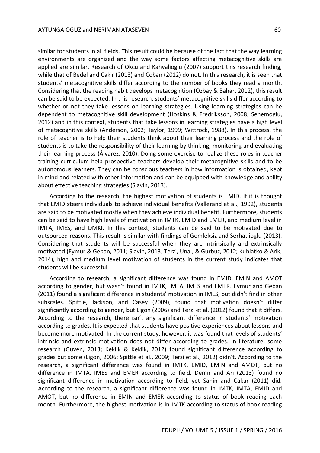similar for students in all fields. This result could be because of the fact that the way learning environments are organized and the way some factors affecting metacognitive skills are applied are similar. Research of Okcu and Kahyalioglu (2007) support this research finding, while that of Bedel and Cakir (2013) and Coban (2012) do not. In this research, it is seen that students' metacognitive skills differ according to the number of books they read a month. Considering that the reading habit develops metacognition (Ozbay & Bahar, 2012), this result can be said to be expected. In this research, students' metacognitive skills differ according to whether or not they take lessons on learning strategies. Using learning strategies can be dependent to metacognitive skill development (Hoskins & Fredriksson, 2008; Senemoglu, 2012) and in this context, students that take lessons in learning strategies have a high level of metacognitive skills (Anderson, 2002; Taylor, 1999; Wittrock, 1988). In this process, the role of teacher is to help their students think about their learning process and the role of students is to take the responsibility of their learning by thinking, monitoring and evaluating

their learning process (Álvarez, 2010). Doing some exercise to realize these roles in teacher training curriculum help prospective teachers develop their metacognitive skills and to be autonomous learners. They can be conscious teachers in how information is obtained, kept in mind and related with other information and can be equipped with knowledge and ability about effective teaching strategies (Slavin, 2013).

According to the research, the highest motivation of students is EMID. If it is thought that EMID steers individuals to achieve individual benefits (Vallerand et al., 1992), students are said to be motivated mostly when they achieve individual benefit. Furthermore, students can be said to have high levels of motivation in IMTK, EMID and EMER, and medium level in IMTA, IMES, and DMKI. In this context, students can be said to be motivated due to outsourced reasons. This result is similar with findings of Gomleksiz and Serhatlioglu (2013). Considering that students will be successful when they are intrinsically and extrinsically motivated (Eymur & Geban, 2011; Slavin, 2013; Terzi, Unal, & Gurbuz, 2012; Kubiatko & Arik, 2014), high and medium level motivation of students in the current study indicates that students will be successful.

According to research, a significant difference was found in EMID, EMIN and AMOT according to gender, but wasn't found in IMTK, IMTA, IMES and EMER. Eymur and Geban (2011) found a significant difference in students' motivation in IMES, but didn't find in other subscales. Spittle, Jackson, and Casey (2009), found that motivation doesn't differ significantly according to gender, but Ligon (2006) and Terzi et al. (2012) found that it differs. According to the research, there isn't any significant difference in students' motivation according to grades. It is expected that students have positive experiences about lessons and become more motivated. In the current study, however, it was found that levels of students' intrinsic and extrinsic motivation does not differ according to grades. In literature, some research (Guven, 2013; Keklik & Keklik, 2012) found significant difference according to grades but some (Ligon, 2006; Spittle et al., 2009; Terzi et al., 2012) didn't. According to the research, a significant difference was found in IMTK, EMID, EMIN and AMOT, but no difference in IMTA, IMES and EMER according to field. Demir and Ari (2013) found no significant difference in motivation according to field, yet Sahin and Cakar (2011) did. According to the research, a significant difference was found in IMTK, IMTA, EMID and AMOT, but no difference in EMIN and EMER according to status of book reading each month. Furthermore, the highest motivation is in IMTK according to status of book reading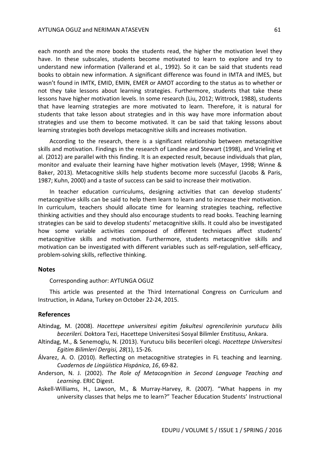each month and the more books the students read, the higher the motivation level they have. In these subscales, students become motivated to learn to explore and try to understand new information (Vallerand et al., 1992). So it can be said that students read books to obtain new information. A significant difference was found in IMTA and IMES, but wasn't found in IMTK, EMID, EMIN, EMER or AMOT according to the status as to whether or not they take lessons about learning strategies. Furthermore, students that take these lessons have higher motivation levels. In some research (Liu, 2012; Wittrock, 1988), students that have learning strategies are more motivated to learn. Therefore, it is natural for students that take lesson about strategies and in this way have more information about strategies and use them to become motivated. It can be said that taking lessons about learning strategies both develops metacognitive skills and increases motivation.

According to the research, there is a significant relationship between metacognitive skills and motivation. Findings in the research of Landine and Stewart (1998), and Vrieling et al. (2012) are parallel with this finding. It is an expected result, because individuals that plan, monitor and evaluate their learning have higher motivation levels (Mayer, 1998; Winne & Baker, 2013). Metacognitive skills help students become more successful (Jacobs & Paris, 1987; Kuhn, 2000) and a taste of success can be said to increase their motivation.

In teacher education curriculums, designing activities that can develop students' metacognitive skills can be said to help them learn to learn and to increase their motivation. In curriculum, teachers should allocate time for learning strategies teaching, reflective thinking activities and they should also encourage students to read books. Teaching learning strategies can be said to develop students' metacognitive skills. It could also be investigated how some variable activities composed of different techniques affect students' metacognitive skills and motivation. Furthermore, students metacognitive skills and motivation can be investigated with different variables such as self-regulation, self-efficacy, problem-solving skills, reflective thinking.

#### **Notes**

Corresponding author: AYTUNGA OGUZ

This article was presented at the Third International Congress on Curriculum and Instruction, in Adana, Turkey on October 22-24, 2015.

#### **References**

- Altindag, M. (2008). *Hacettepe universitesi egitim fakultesi ogrencilerinin yurutucu bilis becerileri.* Doktora Tezi, Hacettepe Universitesi Sosyal Bilimler Enstitusu, Ankara.
- Altindag, M., & Senemoglu, N. (2013). Yurutucu bilis becerileri olcegi. *Hacettepe Universitesi Egitim Bilimleri Dergisi, 28*(1), 15-26.
- Álvarez, A. O. (2010). Reflecting on metacognitive strategies in FL teaching and learning. *Cuadernos de Lingüística Hispánica*, *16*, 69-82.
- Anderson, N. J. (2002). *The Role of Metacognition in Second Language Teaching and Learning*. ERIC Digest.
- Askell-Williams, H., Lawson, M., & Murray-Harvey, R. (2007). "What happens in my university classes that helps me to learn?" Teacher Education Students' Instructional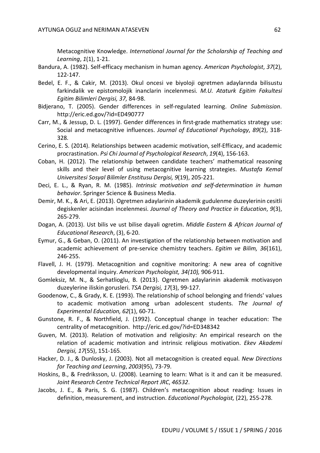Metacognitive Knowledge. *International Journal for the Scholarship of Teaching and Learning*, *1*(1), 1-21.

- Bandura, A. (1982). Self-efficacy mechanism in human agency. *American Psychologist*, *37*(2), 122-147.
- Bedel, E. F., & Cakir, M. (2013). Okul oncesi ve biyoloji ogretmen adaylarında bilisustu farkindalik ve epistomolojik inanclarin incelenmesi. *M.U. Ataturk Egitim Fakultesi Egitim Bilimleri Dergisi, 37,* 84-98.
- Bidjerano, T. (2005). Gender differences in self-regulated learning. *Online Submission*. http://eric.ed.gov/?id=ED490777
- Carr, M., & Jessup, D. L. (1997). Gender differences in first-grade mathematics strategy use: Social and metacognitive influences. *Journal of Educational Psychology*, *89*(2), 318- 328.
- Cerino, E. S. (2014). Relationships between academic motivation, self-Efficacy, and academic procrastination. *Psi Chi Journal of Psychological Research*, *19*(4), 156-163.
- Coban, H. (2012). The relationship between candidate teachers' mathematical reasoning skills and their level of using metacognitive learning strategies. *Mustafa Kemal Universitesi Sosyal Bilimler Enstitusu Dergisi, 9*(19), 205-221.
- Deci, E. L., & Ryan, R. M. (1985). *Intrinsic motivation and self-determination in human behavior*. Springer Science & Business Media.
- Demir, M. K., & Ari, E. (2013). Ogretmen adaylarinin akademik gudulenme duzeylerinin cesitli degiskenler acisindan incelenmesi. *Journal of Theory and Practice in Education*, *9*(3), 265-279.
- Dogan, A. (2013). Ust bilis ve ust bilise dayali ogretim. *Middle Eastern & African Journal of Educational Research*, (3), 6-20.
- Eymur, G., & Geban, O. (2011). An investigation of the relationship between motivation and academic achievement of pre-service chemistry teachers. *Egitim ve Bilim, 36*(161), 246-255.
- Flavell, J. H. (1979). Metacognition and cognitive monitoring: A new area of cognitive developmental inquiry. *American Psychologist, 34(10),* 906-911.
- Gomleksiz, M. N., & Serhatlioglu, B. (2013). Ogretmen adaylarinin akademik motivasyon duzeylerine iliskin gorusleri. *TSA Dergisi, 17*(3), 99-127.
- Goodenow, C., & Grady, K. E. (1993). The relationship of school belonging and friends' values to academic motivation among urban adolescent students. *The Journal of Experimental Education, 62*(1), 60-71.
- Gunstone, R. F., & Northfield, J. (1992). Conceptual change in teacher education: The centrality of metacognition. http://eric.ed.gov/?id=ED348342
- Guven, M. (2013). Relation of motivation and religiosity: An empirical research on the relation of academic motivation and intrinsic religious motivation. *Ekev Akademi Dergisi, 17*(55), 151-165.
- Hacker, D. J., & Dunlosky, J. (2003). Not all metacognition is created equal. *New Directions for Teaching and Learning*, *2003*(95), 73-79.
- Hoskins, B., & Fredriksson, U. (2008). Learning to learn: What is it and can it be measured. *Joint Research Centre Technical Report JRC*, *46532*.
- Jacobs, J. E., & Paris, S. G. (1987). Children's metacognition about reading: Issues in definition, measurement, and instruction. *Educational Psychologist,* (22), 255-278.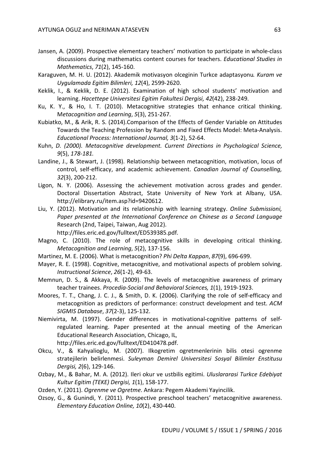- Jansen, A. (2009). Prospective elementary teachers' motivation to participate in whole-class discussions during mathematics content courses for teachers. *Educational Studies in Mathematics*, *71*(2), 145-160.
- Karaguven, M. H. U. (2012). Akademik motivasyon olceginin Turkce adaptasyonu*. Kuram ve Uygulamada Egitim Bilimleri, 12*(4), 2599-2620.
- Keklik, I., & Keklik, D. E. (2012). Examination of high school students' motivation and learning. *Hacettepe Universitesi Egitim Fakultesi Dergisi, 42*(42), 238-249.
- Ku, K. Y., & Ho, I. T. (2010). Metacognitive strategies that enhance critical thinking. M*etacognition and Learning*, *5*(3), 251-267.
- Kubiatko, M., & Arik, R. S. (2014).Comparison of the Effects of Gender Variable on Attitudes Towards the Teaching Profession by Random and Fixed Effects Model: Meta-Analysis. *Educational Process: International Journal, 3*(1-2), 52-64.
- Kuhn, *D. (2000). Metacognitive development. Current Directions in Psychological Science, 9*(5), *178-181.*
- Landine, J., & Stewart, J. (1998). Relationship between metacognition, motivation, locus of control, self-efficacy, and academic achievement. *Canadian Journal of Counselling, 32*(3), 200-212.
- Ligon, N. Y. (2006). Assessing the achievement motivation across grades and gender. Doctoral Dissertation Abstract, State University of New York at Albany, USA. http://elibrary.ru/item.asp?id=9420612.
- Liu, Y. (2012). Motivation and its relationship with learning strategy. *Online Submissioni, Paper presented at the International Conference on Chinese as a Second Language*  Research (2nd, Taipei, Taiwan, Aug 2012).

http://files.eric.ed.gov/fulltext/ED539385.pdf.

- Magno, C. (2010). The role of metacognitive skills in developing critical thinking. *Metacognition and Learning*, *5*(2), 137-156.
- Martinez, M. E. (2006). What is metacognition? *Phi Delta Kappan*, *87*(9), 696-699.
- Mayer, R. E. (1998). Cognitive, metacognitive, and motivational aspects of problem solving. *Instructional Science*, *26*(1-2), 49-63.
- Memnun, D. S., & Akkaya, R. (2009). The levels of metacognitive awareness of primary teacher trainees. *Procedia-Social and Behavioral Sciences, 1*(1), 1919-1923.
- Moores, T. T., Chang, J. C. J., & Smith, D. K. (2006). Clarifying the role of self-efficacy and metacognition as predictors of performance: construct development and test. *ACM SIGMIS Database*, *37*(2-3), 125-132.
- Niemivirta, M. (1997). Gender differences in motivational-cognitive patterns of selfregulated learning. Paper presented at the annual meeting of the American Educational Research Association, Chicago, IL, http://files.eric.ed.gov/fulltext/ED410478.pdf.
- Okcu, V., & Kahyalioglu, M. (2007). Ilkogretim ogretmenlerinin bilis otesi ogrenme stratejilerin belirlenmesi. *Suleyman Demirel Universitesi Sosyal Bilimler Enstitusu Dergisi, 2*(6), 129-146.
- Ozbay, M., & Bahar, M. A. (2012). Ileri okur ve ustbilis egitimi. *Uluslararasi Turkce Edebiyat Kultur Egitim (TEKE) Dergisi, 1*(1), 158-177.
- Ozden, Y. (2011). *Ogrenme ve Ogretme*. Ankara: Pegem Akademi Yayincilik.
- Ozsoy, G., & Gunindi, Y. (2011). Prospective preschool teachers' metacognitive awareness. *Elementary Education Online, 10*(2), 430-440.